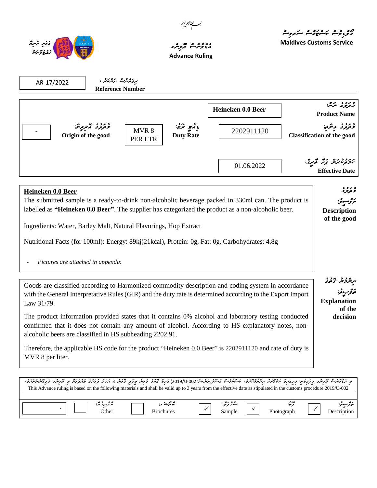

| כ הגי <i>קייר הקיינד הקורקייר הדבר</i> ק המהיה ההותהמיקי מ-ספרי הריק(יקייקיסיה UUL) בוק נהק בקיק בקייק ב"אינד בקרק בקודקה באקיינד בקבועיקיקיקי<br>This Advance ruling is based on the following materials and shall be valid up to 3 years from the effective date as stipulated in the customs procedure 2019/U-002 |                  |           |            |             |
|----------------------------------------------------------------------------------------------------------------------------------------------------------------------------------------------------------------------------------------------------------------------------------------------------------------------|------------------|-----------|------------|-------------|
| ېزىبرىرىش:                                                                                                                                                                                                                                                                                                           | ھ بڑے ً ہر:      | گرد برگز: | Photograph | ە ئۇسىز     |
| <b>Other</b>                                                                                                                                                                                                                                                                                                         | <b>Brochures</b> | Sample    |            | Description |